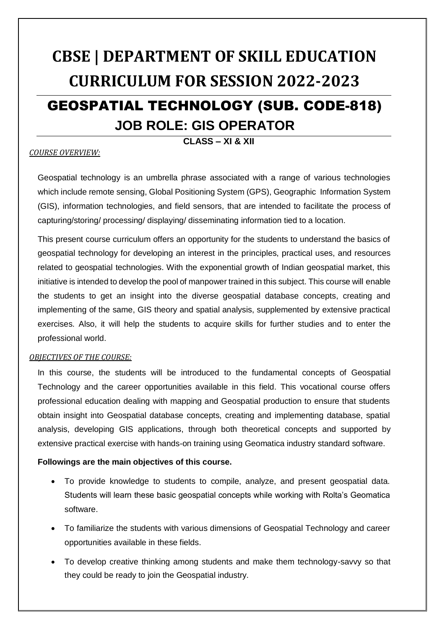# **CBSE | DEPARTMENT OF SKILL EDUCATION CURRICULUM FOR SESSION 2022-2023** GEOSPATIAL TECHNOLOGY (SUB. CODE-818) **JOB ROLE: GIS OPERATOR**

#### **CLASS – XI & XII**

#### *COURSE OVERVIEW:*

Geospatial technology is an umbrella phrase associated with a range of various technologies which include remote sensing, Global Positioning System (GPS), Geographic Information System (GIS), information technologies, and field sensors, that are intended to facilitate the process of capturing/storing/ processing/ displaying/ disseminating information tied to a location.

This present course curriculum offers an opportunity for the students to understand the basics of geospatial technology for developing an interest in the principles, practical uses, and resources related to geospatial technologies. With the exponential growth of Indian geospatial market, this initiative is intended to develop the pool of manpower trained in this subject. This course will enable the students to get an insight into the diverse geospatial database concepts, creating and implementing of the same, GIS theory and spatial analysis, supplemented by extensive practical exercises. Also, it will help the students to acquire skills for further studies and to enter the professional world.

#### *OBJECTIVES OF THE COURSE:*

In this course, the students will be introduced to the fundamental concepts of Geospatial Technology and the career opportunities available in this field. This vocational course offers professional education dealing with mapping and Geospatial production to ensure that students obtain insight into Geospatial database concepts, creating and implementing database, spatial analysis, developing GIS applications, through both theoretical concepts and supported by extensive practical exercise with hands-on training using Geomatica industry standard software.

#### **Followings are the main objectives of this course.**

- To provide knowledge to students to compile, analyze, and present geospatial data. Students will learn these basic geospatial concepts while working with Rolta's Geomatica software.
- To familiarize the students with various dimensions of Geospatial Technology and career opportunities available in these fields.
- To develop creative thinking among students and make them technology-savvy so that they could be ready to join the Geospatial industry.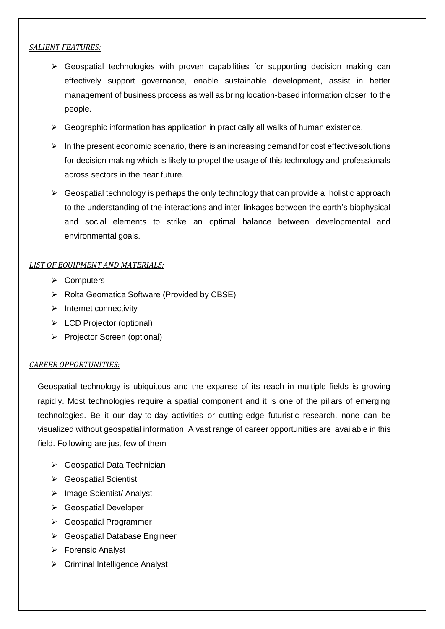#### *SALIENT FEATURES:*

- $\triangleright$  Geospatial technologies with proven capabilities for supporting decision making can effectively support governance, enable sustainable development, assist in better management of business process as well as bring location-based information closer to the people.
- $\triangleright$  Geographic information has application in practically all walks of human existence.
- $\triangleright$  In the present economic scenario, there is an increasing demand for cost effectivesolutions for decision making which is likely to propel the usage of this technology and professionals across sectors in the near future.
- $\triangleright$  Geospatial technology is perhaps the only technology that can provide a holistic approach to the understanding of the interactions and inter-linkages between the earth's biophysical and social elements to strike an optimal balance between developmental and environmental goals.

#### *LIST OF EQUIPMENT AND MATERIALS:*

- **≻** Computers
- ▶ Rolta Geomatica Software (Provided by CBSE)
- $\triangleright$  Internet connectivity
- > LCD Projector (optional)
- $\triangleright$  Projector Screen (optional)

#### *CAREER OPPORTUNITIES:*

Geospatial technology is ubiquitous and the expanse of its reach in multiple fields is growing rapidly. Most technologies require a spatial component and it is one of the pillars of emerging technologies. Be it our day-to-day activities or cutting-edge futuristic research, none can be visualized without geospatial information. A vast range of career opportunities are available in this field. Following are just few of them-

- ▶ Geospatial Data Technician
- **▶ Geospatial Scientist**
- Image Scientist/ Analyst
- **► Geospatial Developer**
- Geospatial Programmer
- Geospatial Database Engineer
- Forensic Analyst
- ▶ Criminal Intelligence Analyst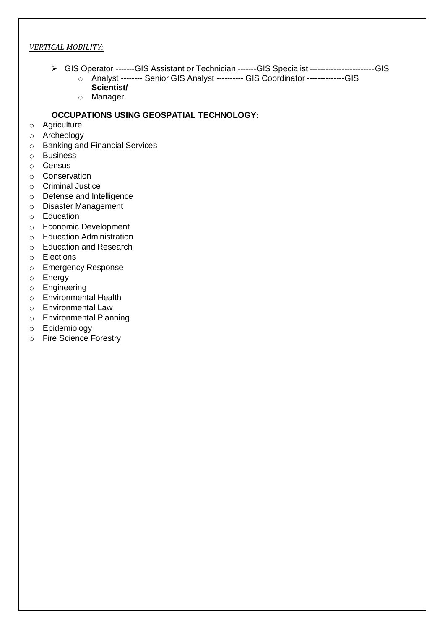#### *VERTICAL MOBILITY:*

- GIS Operator -------GIS Assistant or Technician -------GIS Specialist------------------------GIS
	- o Analyst -------- Senior GIS Analyst ---------- GIS Coordinator --------------GIS **Scientist/**
	- o Manager.

#### **OCCUPATIONS USING GEOSPATIAL TECHNOLOGY:**

- o Agriculture
- o Archeology
- o Banking and Financial Services
- o Business
- o Census
- o Conservation
- o Criminal Justice
- o Defense and Intelligence
- o Disaster Management
- o Education
- o Economic Development
- o Education Administration
- o Education and Research
- o Elections
- o Emergency Response
- o Energy
- o Engineering
- o Environmental Health
- o Environmental Law
- o Environmental Planning
- o Epidemiology
- o Fire Science Forestry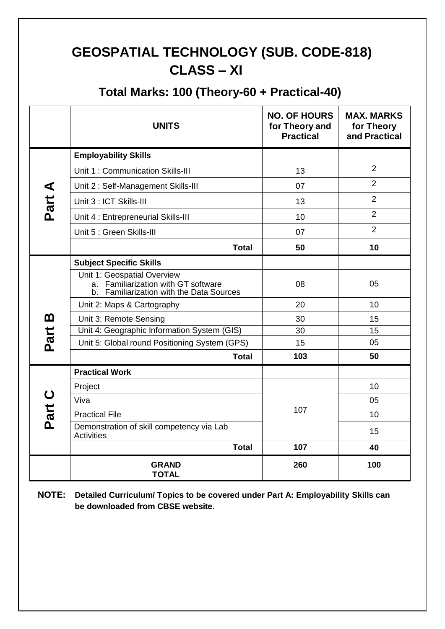## **GEOSPATIAL TECHNOLOGY (SUB. CODE-818) CLASS – XI**

### **Total Marks: 100 (Theory-60 + Practical-40)**

|          | <b>UNITS</b>                                                                                                   | <b>NO. OF HOURS</b><br>for Theory and<br><b>Practical</b> | <b>MAX. MARKS</b><br>for Theory<br>and Practical |
|----------|----------------------------------------------------------------------------------------------------------------|-----------------------------------------------------------|--------------------------------------------------|
|          | <b>Employability Skills</b>                                                                                    |                                                           |                                                  |
|          | Unit 1: Communication Skills-III                                                                               | 13                                                        | $\overline{2}$                                   |
|          | Unit 2: Self-Management Skills-III                                                                             | 07                                                        | $\overline{2}$                                   |
| Part A   | Unit 3 : ICT Skills-III                                                                                        | 13                                                        | $\overline{2}$                                   |
|          | Unit 4 : Entrepreneurial Skills-III                                                                            | 10                                                        | $\overline{2}$                                   |
|          | Unit 5 : Green Skills-III                                                                                      | 07                                                        | $\overline{2}$                                   |
|          | <b>Total</b>                                                                                                   | 50                                                        | 10                                               |
|          | <b>Subject Specific Skills</b>                                                                                 |                                                           |                                                  |
|          | Unit 1: Geospatial Overview<br>a. Familiarization with GT software<br>b. Familiarization with the Data Sources | 08                                                        | 05                                               |
|          | Unit 2: Maps & Cartography                                                                                     | 20                                                        | 10                                               |
| <u>ന</u> | Unit 3: Remote Sensing                                                                                         | 30                                                        | 15                                               |
| Part     | Unit 4: Geographic Information System (GIS)                                                                    | 30                                                        | 15                                               |
|          | Unit 5: Global round Positioning System (GPS)                                                                  | 15                                                        | 05                                               |
|          | <b>Total</b>                                                                                                   | 103                                                       | 50                                               |
|          | <b>Practical Work</b>                                                                                          |                                                           |                                                  |
|          | Project                                                                                                        |                                                           | 10                                               |
|          | Viva                                                                                                           |                                                           | 05                                               |
| Part C   | <b>Practical File</b>                                                                                          | 107                                                       | 10                                               |
|          | Demonstration of skill competency via Lab<br><b>Activities</b>                                                 |                                                           | 15                                               |
|          | <b>Total</b>                                                                                                   | 107                                                       | 40                                               |
|          | <b>GRAND</b><br><b>TOTAL</b>                                                                                   | 260                                                       | 100                                              |

**NOTE: Detailed Curriculum/ Topics to be covered under Part A: Employability Skills can be downloaded from CBSE website**.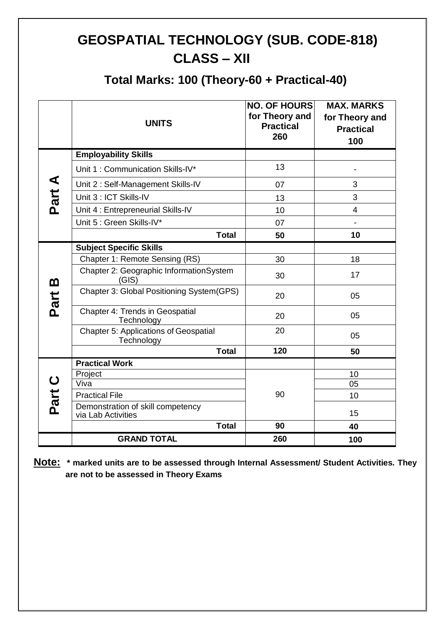## **GEOSPATIAL TECHNOLOGY (SUB. CODE-818) CLASS – XII**

### **Total Marks: 100 (Theory-60 + Practical-40)**

|                     | <b>UNITS</b>                                               | <b>NO. OF HOURS</b><br>for Theory and<br><b>Practical</b><br>260 | <b>MAX. MARKS</b><br>for Theory and<br><b>Practical</b><br>100 |
|---------------------|------------------------------------------------------------|------------------------------------------------------------------|----------------------------------------------------------------|
|                     | <b>Employability Skills</b>                                |                                                                  |                                                                |
|                     | Unit 1: Communication Skills-IV*                           | 13                                                               |                                                                |
|                     | Unit 2: Self-Management Skills-IV                          | 07                                                               | 3                                                              |
| Part A              | Unit 3 : ICT Skills-IV                                     | 13                                                               | 3                                                              |
|                     | Unit 4 : Entrepreneurial Skills-IV                         | 10                                                               | 4                                                              |
|                     | Unit 5 : Green Skills-IV*                                  | 07                                                               | $\overline{\phantom{a}}$                                       |
|                     | <b>Total</b>                                               | 50                                                               | 10                                                             |
|                     | <b>Subject Specific Skills</b>                             |                                                                  |                                                                |
|                     | Chapter 1: Remote Sensing (RS)                             | 30                                                               | 18                                                             |
| <u>ന</u>            | Chapter 2: Geographic InformationSystem<br>(GIS)           | 30                                                               | 17                                                             |
| Part                | Chapter 3: Global Positioning System(GPS)                  | 20                                                               | 05                                                             |
|                     | Chapter 4: Trends in Geospatial<br>Technology              | 20                                                               | 05                                                             |
|                     | <b>Chapter 5: Applications of Geospatial</b><br>Technology | 20                                                               | 05                                                             |
|                     | <b>Total</b>                                               | 120                                                              | 50                                                             |
|                     | <b>Practical Work</b>                                      |                                                                  |                                                                |
| $\mathbf C$<br>Part | Project<br>Viva                                            |                                                                  | 10<br>05                                                       |
|                     | <b>Practical File</b>                                      | 90                                                               | 10                                                             |
|                     | Demonstration of skill competency                          |                                                                  |                                                                |
|                     | via Lab Activities                                         |                                                                  | 15                                                             |
|                     | <b>Total</b>                                               | 90                                                               | 40                                                             |
|                     | <b>GRAND TOTAL</b>                                         | 260                                                              | 100                                                            |

**Note: \* marked units are to be assessed through Internal Assessment/ Student Activities. They are not to be assessed in Theory Exams**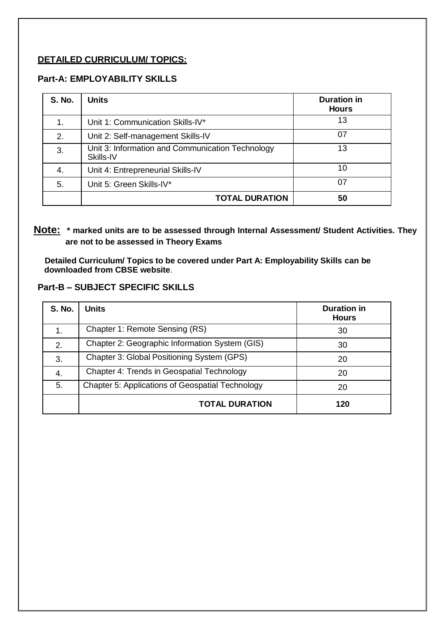#### **DETAILED CURRICULUM/ TOPICS:**

#### **Part-A: EMPLOYABILITY SKILLS**

| <b>S. No.</b> | <b>Units</b>                                                  | <b>Duration in</b><br><b>Hours</b> |
|---------------|---------------------------------------------------------------|------------------------------------|
|               | Unit 1: Communication Skills-IV*                              | 13                                 |
| 2.            | Unit 2: Self-management Skills-IV                             | 07                                 |
| 3.            | Unit 3: Information and Communication Technology<br>Skills-IV | 13                                 |
| 4.            | Unit 4: Entrepreneurial Skills-IV                             | 10                                 |
| 5.            | Unit 5: Green Skills-IV*                                      | 07                                 |
|               | <b>TOTAL DURATION</b>                                         | 50                                 |

#### **Note: \* marked units are to be assessed through Internal Assessment/ Student Activities. They are not to be assessed in Theory Exams**

 **Detailed Curriculum/ Topics to be covered under Part A: Employability Skills can be downloaded from CBSE website**.

#### **Part-B – SUBJECT SPECIFIC SKILLS**

| <b>S. No.</b> | Units                                                   | <b>Duration in</b><br><b>Hours</b> |
|---------------|---------------------------------------------------------|------------------------------------|
|               | Chapter 1: Remote Sensing (RS)                          | 30                                 |
| 2.            | Chapter 2: Geographic Information System (GIS)          | 30                                 |
| 3.            | Chapter 3: Global Positioning System (GPS)              | 20                                 |
| 4.            | Chapter 4: Trends in Geospatial Technology              | 20                                 |
| 5.            | <b>Chapter 5: Applications of Geospatial Technology</b> | 20                                 |
|               | <b>TOTAL DURATION</b>                                   | 120                                |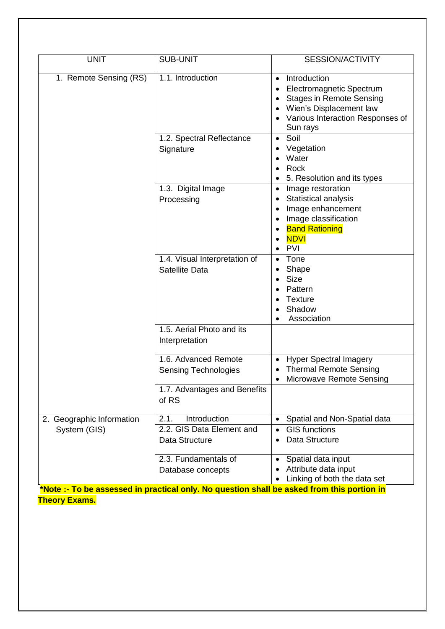| <b>UNIT</b>                               | <b>SUB-UNIT</b>                                                                                                                         | SESSION/ACTIVITY                                                                                                                                                           |
|-------------------------------------------|-----------------------------------------------------------------------------------------------------------------------------------------|----------------------------------------------------------------------------------------------------------------------------------------------------------------------------|
| 1. Remote Sensing (RS)                    | 1.1. Introduction                                                                                                                       | Introduction<br>$\bullet$<br><b>Electromagnetic Spectrum</b><br><b>Stages in Remote Sensing</b><br>Wien's Displacement law<br>Various Interaction Responses of<br>Sun rays |
|                                           | 1.2. Spectral Reflectance<br>Signature                                                                                                  | Soil<br>$\bullet$<br>Vegetation<br>Water<br>Rock<br>5. Resolution and its types                                                                                            |
|                                           | 1.3. Digital Image<br>Processing                                                                                                        | Image restoration<br>$\bullet$<br>Statistical analysis<br>Image enhancement<br>Image classification<br><b>Band Rationing</b><br><b>NDVI</b><br>PVI                         |
|                                           | 1.4. Visual Interpretation of<br><b>Satellite Data</b>                                                                                  | Tone<br>Shape<br><b>Size</b><br>Pattern<br><b>Texture</b><br>Shadow<br>Association                                                                                         |
|                                           | 1.5. Aerial Photo and its<br>Interpretation                                                                                             |                                                                                                                                                                            |
|                                           | 1.6. Advanced Remote<br><b>Sensing Technologies</b>                                                                                     | <b>Hyper Spectral Imagery</b><br>$\bullet$<br><b>Thermal Remote Sensing</b><br>Microwave Remote Sensing                                                                    |
|                                           | 1.7. Advantages and Benefits<br>of RS                                                                                                   |                                                                                                                                                                            |
| 2. Geographic Information<br>System (GIS) | Introduction<br>2.1.<br>2.2. GIS Data Element and<br>Data Structure                                                                     | Spatial and Non-Spatial data<br>$\bullet$<br><b>GIS functions</b><br>$\bullet$<br>Data Structure                                                                           |
|                                           | 2.3. Fundamentals of<br>Database concepts<br>*Note -- To be assessed in practical only. No question shall be asked from this portion in | Spatial data input<br>Attribute data input<br>Linking of both the data set                                                                                                 |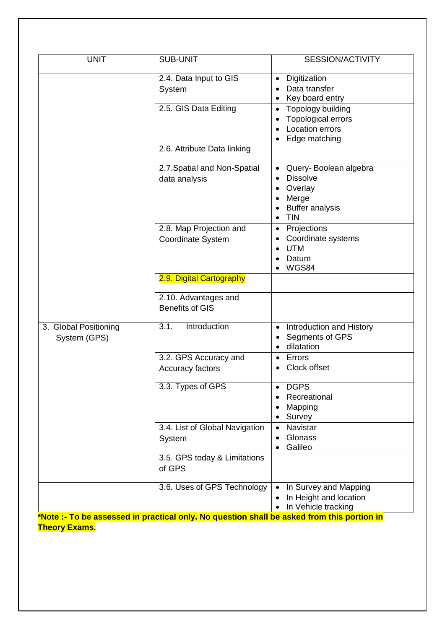| <b>UNIT</b>           | <b>SUB-UNIT</b>                          | <b>SESSION/ACTIVITY</b>                       |
|-----------------------|------------------------------------------|-----------------------------------------------|
|                       | 2.4. Data Input to GIS<br>System         | Digitization<br>$\bullet$<br>Data transfer    |
|                       |                                          | Key board entry                               |
|                       | 2.5. GIS Data Editing                    | Topology building<br>$\bullet$                |
|                       |                                          | Topological errors                            |
|                       |                                          | <b>Location errors</b>                        |
|                       | 2.6. Attribute Data linking              | Edge matching                                 |
|                       |                                          |                                               |
|                       | 2.7. Spatial and Non-Spatial             | Query-Boolean algebra<br>$\bullet$            |
|                       | data analysis                            | <b>Dissolve</b><br>$\bullet$                  |
|                       |                                          | Overlay<br>Merge<br>$\bullet$                 |
|                       |                                          | <b>Buffer analysis</b>                        |
|                       |                                          | <b>TIN</b><br>$\bullet$                       |
|                       | 2.8. Map Projection and                  | Projections<br>$\bullet$                      |
|                       | Coordinate System                        | Coordinate systems                            |
|                       |                                          | <b>UTM</b><br>Datum                           |
|                       |                                          | WGS84                                         |
|                       | 2.9. Digital Cartography                 |                                               |
|                       | 2.10. Advantages and                     |                                               |
|                       | <b>Benefits of GIS</b>                   |                                               |
| 3. Global Positioning | 3.1.<br>Introduction                     | Introduction and History<br>$\bullet$         |
| System (GPS)          |                                          | Segments of GPS                               |
|                       |                                          | dilatation                                    |
|                       | 3.2. GPS Accuracy and                    | Errors<br>$\bullet$<br>Clock offset           |
|                       | Accuracy factors                         |                                               |
|                       | 3.3. Types of GPS                        | <b>DGPS</b><br>$\bullet$                      |
|                       |                                          | Recreational                                  |
|                       |                                          | Mapping                                       |
|                       |                                          | Survey                                        |
|                       | 3.4. List of Global Navigation<br>System | Navistar<br>$\bullet$<br>Glonass<br>$\bullet$ |
|                       |                                          | Galileo                                       |
|                       | 3.5. GPS today & Limitations<br>of GPS   |                                               |
|                       | 3.6. Uses of GPS Technology              | In Survey and Mapping<br>$\bullet$            |
|                       |                                          | In Height and location                        |
|                       |                                          | In Vehicle tracking                           |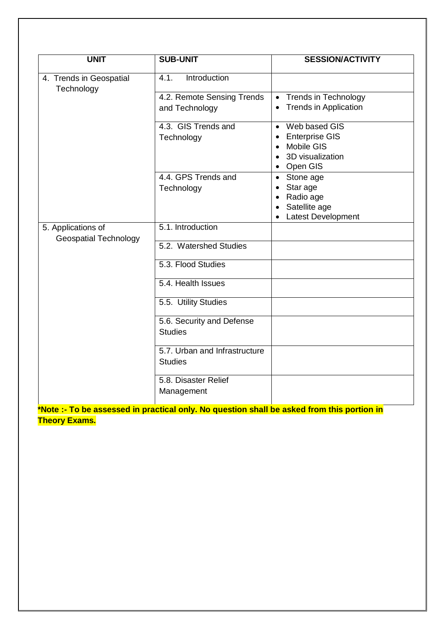| <b>UNIT</b>                                        | <b>SUB-UNIT</b>                                 | <b>SESSION/ACTIVITY</b>                   |
|----------------------------------------------------|-------------------------------------------------|-------------------------------------------|
| 4. Trends in Geospatial                            | Introduction<br>4.1.                            |                                           |
| Technology                                         | 4.2. Remote Sensing Trends                      | <b>Trends in Technology</b><br>$\bullet$  |
|                                                    | and Technology                                  | <b>Trends in Application</b><br>$\bullet$ |
|                                                    | 4.3. GIS Trends and                             | Web based GIS<br>$\bullet$                |
|                                                    | Technology                                      | <b>Enterprise GIS</b>                     |
|                                                    |                                                 | Mobile GIS<br>$\bullet$                   |
|                                                    |                                                 | 3D visualization                          |
|                                                    |                                                 | Open GIS<br>$\bullet$                     |
|                                                    | 4.4. GPS Trends and                             | Stone age<br>$\bullet$                    |
|                                                    | Technology                                      | Star age<br>Radio age                     |
|                                                    |                                                 | Satellite age                             |
|                                                    |                                                 | <b>Latest Development</b>                 |
| 5. Applications of<br><b>Geospatial Technology</b> | 5.1. Introduction                               |                                           |
|                                                    | 5.2. Watershed Studies                          |                                           |
|                                                    | 5.3. Flood Studies                              |                                           |
|                                                    | 5.4. Health Issues                              |                                           |
|                                                    | 5.5. Utility Studies                            |                                           |
|                                                    | 5.6. Security and Defense<br><b>Studies</b>     |                                           |
|                                                    | 5.7. Urban and Infrastructure<br><b>Studies</b> |                                           |
|                                                    | 5.8. Disaster Relief<br>Management              |                                           |
|                                                    |                                                 |                                           |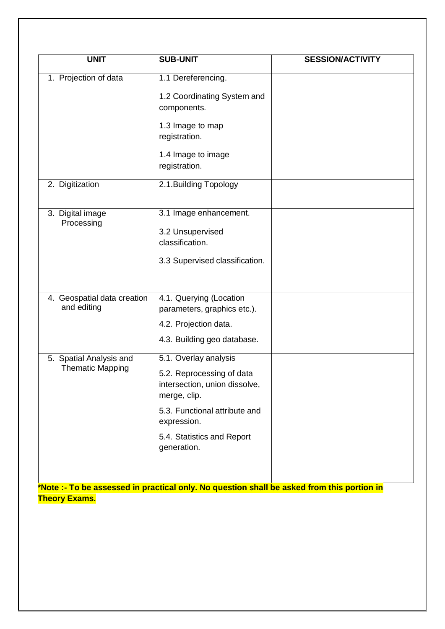| <b>UNIT</b>                 | <b>SUB-UNIT</b>                              | <b>SESSION/ACTIVITY</b> |
|-----------------------------|----------------------------------------------|-------------------------|
|                             |                                              |                         |
| 1. Projection of data       | 1.1 Dereferencing.                           |                         |
|                             | 1.2 Coordinating System and                  |                         |
|                             | components.                                  |                         |
|                             | 1.3 Image to map                             |                         |
|                             | registration.                                |                         |
|                             | 1.4 Image to image                           |                         |
|                             | registration.                                |                         |
| 2. Digitization             | 2.1. Building Topology                       |                         |
|                             |                                              |                         |
| 3. Digital image            | 3.1 Image enhancement.                       |                         |
| Processing                  | 3.2 Unsupervised                             |                         |
|                             | classification.                              |                         |
|                             | 3.3 Supervised classification.               |                         |
|                             |                                              |                         |
|                             |                                              |                         |
| 4. Geospatial data creation | 4.1. Querying (Location                      |                         |
| and editing                 | parameters, graphics etc.).                  |                         |
|                             | 4.2. Projection data.                        |                         |
|                             | 4.3. Building geo database.                  |                         |
| 5. Spatial Analysis and     | 5.1. Overlay analysis                        |                         |
| <b>Thematic Mapping</b>     | 5.2. Reprocessing of data                    |                         |
|                             | intersection, union dissolve,                |                         |
|                             | merge, clip.                                 |                         |
|                             | 5.3. Functional attribute and<br>expression. |                         |
|                             | 5.4. Statistics and Report<br>generation.    |                         |
|                             |                                              |                         |
|                             |                                              |                         |
|                             |                                              |                         |